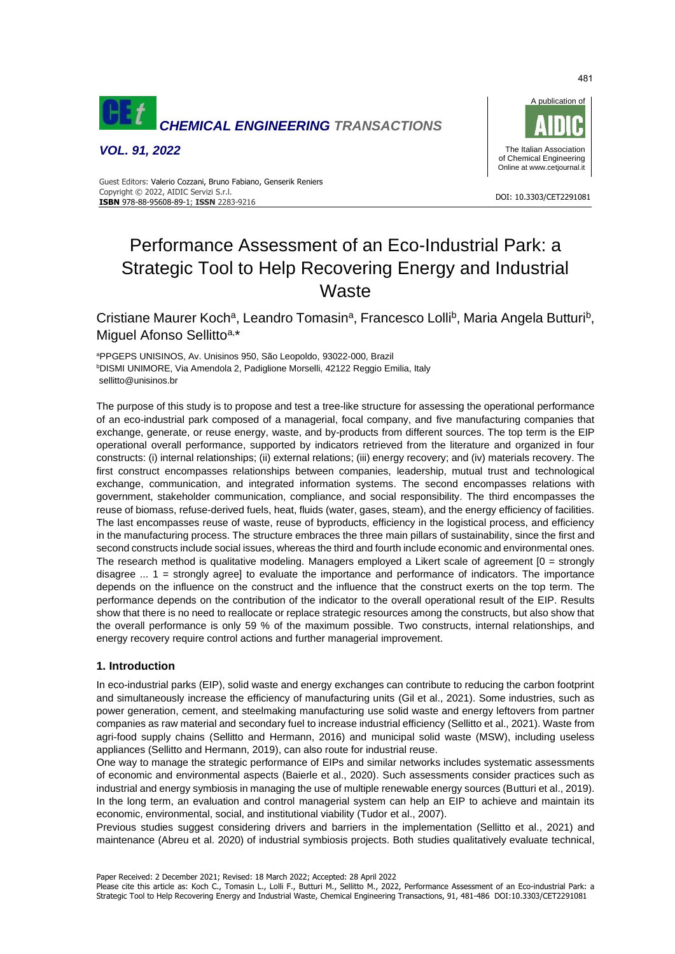

*VOL. 91, 2022*



#### DOI: 10.3303/CET2291081 **ISBN** 978-88-95608-89-1; **ISSN** 2283-9216 Guest Editors: Valerio Cozzani, Bruno Fabiano, Genserik Reniers Copyright © 2022, AIDIC Servizi S.r.l.

# Performance Assessment of an Eco-Industrial Park: a Strategic Tool to Help Recovering Energy and Industrial **Waste**

Cristiane Maurer Koch<sup>a</sup>, Leandro Tomasin<sup>a</sup>, Francesco Lolli<sup>b</sup>, Maria Angela Butturi<sup>b</sup>, Miguel Afonso Sellitto<sup>a,\*</sup>

<sup>a</sup>PPGEPS UNISINOS, Av. Unisinos 950, São Leopoldo, 93022-000, Brazil **bDISMI UNIMORE, Via Amendola 2, Padiglione Morselli, 42122 Reggio Emilia, Italy** sellitto@unisinos.br

The purpose of this study is to propose and test a tree-like structure for assessing the operational performance of an eco-industrial park composed of a managerial, focal company, and five manufacturing companies that exchange, generate, or reuse energy, waste, and by-products from different sources. The top term is the EIP operational overall performance, supported by indicators retrieved from the literature and organized in four constructs: (i) internal relationships; (ii) external relations; (iii) energy recovery; and (iv) materials recovery. The first construct encompasses relationships between companies, leadership, mutual trust and technological exchange, communication, and integrated information systems. The second encompasses relations with government, stakeholder communication, compliance, and social responsibility. The third encompasses the reuse of biomass, refuse-derived fuels, heat, fluids (water, gases, steam), and the energy efficiency of facilities. The last encompasses reuse of waste, reuse of byproducts, efficiency in the logistical process, and efficiency in the manufacturing process. The structure embraces the three main pillars of sustainability, since the first and second constructs include social issues, whereas the third and fourth include economic and environmental ones. The research method is qualitative modeling. Managers employed a Likert scale of agreement  $[0 =$  strongly disagree ... 1 = strongly agree] to evaluate the importance and performance of indicators. The importance depends on the influence on the construct and the influence that the construct exerts on the top term. The performance depends on the contribution of the indicator to the overall operational result of the EIP. Results show that there is no need to reallocate or replace strategic resources among the constructs, but also show that the overall performance is only 59 % of the maximum possible. Two constructs, internal relationships, and energy recovery require control actions and further managerial improvement.

# **1. Introduction**

In eco-industrial parks (EIP), solid waste and energy exchanges can contribute to reducing the carbon footprint and simultaneously increase the efficiency of manufacturing units (Gil et al., 2021). Some industries, such as power generation, cement, and steelmaking manufacturing use solid waste and energy leftovers from partner companies as raw material and secondary fuel to increase industrial efficiency (Sellitto et al., 2021). Waste from agri-food supply chains (Sellitto and Hermann, 2016) and municipal solid waste (MSW), including useless appliances (Sellitto and Hermann, 2019), can also route for industrial reuse.

One way to manage the strategic performance of EIPs and similar networks includes systematic assessments of economic and environmental aspects (Baierle et al., 2020). Such assessments consider practices such as industrial and energy symbiosis in managing the use of multiple renewable energy sources (Butturi et al., 2019). In the long term, an evaluation and control managerial system can help an EIP to achieve and maintain its economic, environmental, social, and institutional viability (Tudor et al., 2007).

Previous studies suggest considering drivers and barriers in the implementation (Sellitto et al., 2021) and maintenance (Abreu et al. 2020) of industrial symbiosis projects. Both studies qualitatively evaluate technical,

Paper Received: 2 December 2021; Revised: 18 March 2022; Accepted: 28 April 2022

Please cite this article as: Koch C., Tomasin L., Lolli F., Butturi M., Sellitto M., 2022, Performance Assessment of an Eco-industrial Park: a Strategic Tool to Help Recovering Energy and Industrial Waste, Chemical Engineering Transactions, 91, 481-486 DOI:10.3303/CET2291081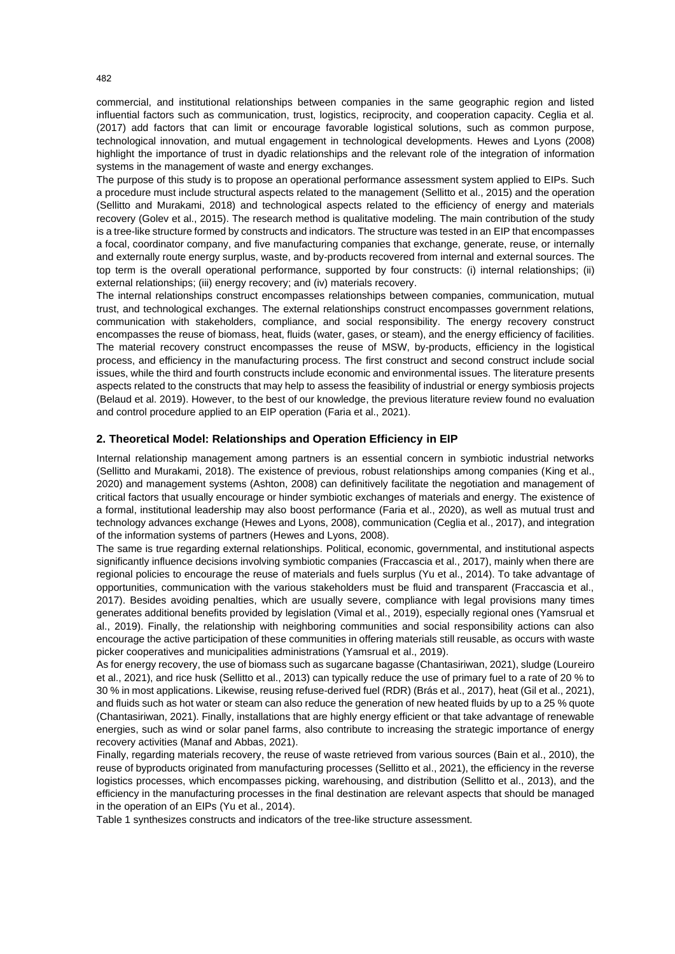commercial, and institutional relationships between companies in the same geographic region and listed influential factors such as communication, trust, logistics, reciprocity, and cooperation capacity. Ceglia et al. (2017) add factors that can limit or encourage favorable logistical solutions, such as common purpose, technological innovation, and mutual engagement in technological developments. Hewes and Lyons (2008) highlight the importance of trust in dyadic relationships and the relevant role of the integration of information systems in the management of waste and energy exchanges.

The purpose of this study is to propose an operational performance assessment system applied to EIPs. Such a procedure must include structural aspects related to the management (Sellitto et al., 2015) and the operation (Sellitto and Murakami, 2018) and technological aspects related to the efficiency of energy and materials recovery (Golev et al., 2015). The research method is qualitative modeling. The main contribution of the study is a tree-like structure formed by constructs and indicators. The structure was tested in an EIP that encompasses a focal, coordinator company, and five manufacturing companies that exchange, generate, reuse, or internally and externally route energy surplus, waste, and by-products recovered from internal and external sources. The top term is the overall operational performance, supported by four constructs: (i) internal relationships; (ii) external relationships; (iii) energy recovery; and (iv) materials recovery.

The internal relationships construct encompasses relationships between companies, communication, mutual trust, and technological exchanges. The external relationships construct encompasses government relations, communication with stakeholders, compliance, and social responsibility. The energy recovery construct encompasses the reuse of biomass, heat, fluids (water, gases, or steam), and the energy efficiency of facilities. The material recovery construct encompasses the reuse of MSW, by-products, efficiency in the logistical process, and efficiency in the manufacturing process. The first construct and second construct include social issues, while the third and fourth constructs include economic and environmental issues. The literature presents aspects related to the constructs that may help to assess the feasibility of industrial or energy symbiosis projects (Belaud et al. 2019). However, to the best of our knowledge, the previous literature review found no evaluation and control procedure applied to an EIP operation (Faria et al., 2021).

# **2. Theoretical Model: Relationships and Operation Efficiency in EIP**

Internal relationship management among partners is an essential concern in symbiotic industrial networks (Sellitto and Murakami, 2018). The existence of previous, robust relationships among companies (King et al., 2020) and management systems (Ashton, 2008) can definitively facilitate the negotiation and management of critical factors that usually encourage or hinder symbiotic exchanges of materials and energy. The existence of a formal, institutional leadership may also boost performance (Faria et al., 2020), as well as mutual trust and technology advances exchange (Hewes and Lyons, 2008), communication (Ceglia et al., 2017), and integration of the information systems of partners (Hewes and Lyons, 2008).

The same is true regarding external relationships. Political, economic, governmental, and institutional aspects significantly influence decisions involving symbiotic companies (Fraccascia et al., 2017), mainly when there are regional policies to encourage the reuse of materials and fuels surplus (Yu et al., 2014). To take advantage of opportunities, communication with the various stakeholders must be fluid and transparent (Fraccascia et al., 2017). Besides avoiding penalties, which are usually severe, compliance with legal provisions many times generates additional benefits provided by legislation (Vimal et al., 2019), especially regional ones (Yamsrual et al., 2019). Finally, the relationship with neighboring communities and social responsibility actions can also encourage the active participation of these communities in offering materials still reusable, as occurs with waste picker cooperatives and municipalities administrations (Yamsrual et al., 2019).

As for energy recovery, the use of biomass such as sugarcane bagasse (Chantasiriwan, 2021), sludge (Loureiro et al., 2021), and rice husk (Sellitto et al., 2013) can typically reduce the use of primary fuel to a rate of 20 % to 30 % in most applications. Likewise, reusing refuse-derived fuel (RDR) (Brás et al., 2017), heat (Gil et al., 2021), and fluids such as hot water or steam can also reduce the generation of new heated fluids by up to a 25 % quote (Chantasiriwan, 2021). Finally, installations that are highly energy efficient or that take advantage of renewable energies, such as wind or solar panel farms, also contribute to increasing the strategic importance of energy recovery activities (Manaf and Abbas, 2021).

Finally, regarding materials recovery, the reuse of waste retrieved from various sources (Bain et al., 2010), the reuse of byproducts originated from manufacturing processes (Sellitto et al., 2021), the efficiency in the reverse logistics processes, which encompasses picking, warehousing, and distribution (Sellitto et al., 2013), and the efficiency in the manufacturing processes in the final destination are relevant aspects that should be managed in the operation of an EIPs (Yu et al., 2014).

Table 1 synthesizes constructs and indicators of the tree-like structure assessment.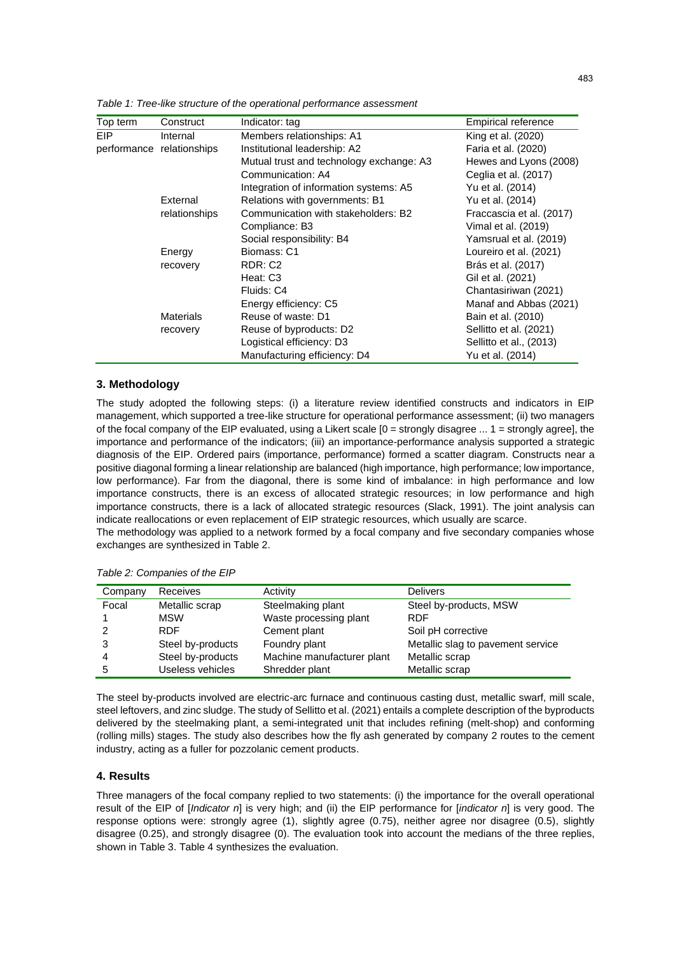| Top term | Construct                 | Indicator: tag                           | Empirical reference      |
|----------|---------------------------|------------------------------------------|--------------------------|
| EIP      | Internal                  | Members relationships: A1                | King et al. (2020)       |
|          | performance relationships | Institutional leadership: A2             | Faria et al. (2020)      |
|          |                           | Mutual trust and technology exchange: A3 | Hewes and Lyons (2008)   |
|          |                           | Communication: A4                        | Ceglia et al. (2017)     |
|          |                           | Integration of information systems: A5   | Yu et al. (2014)         |
|          | External                  | Relations with governments: B1           | Yu et al. (2014)         |
|          | relationships             | Communication with stakeholders: B2      | Fraccascia et al. (2017) |
|          |                           | Compliance: B3                           | Vimal et al. (2019)      |
|          |                           | Social responsibility: B4                | Yamsrual et al. (2019)   |
|          | Energy                    | Biomass: C1                              | Loureiro et al. (2021)   |
|          | recovery                  | RDR: C <sub>2</sub>                      | Brás et al. (2017)       |
|          |                           | Heat: C3                                 | Gil et al. (2021)        |
|          |                           | Fluids: C4                               | Chantasiriwan (2021)     |
|          |                           | Energy efficiency: C5                    | Manaf and Abbas (2021)   |
|          | <b>Materials</b>          | Reuse of waste: D1                       | Bain et al. (2010)       |
|          | recovery                  | Reuse of byproducts: D2                  | Sellitto et al. (2021)   |
|          |                           | Logistical efficiency: D3                | Sellitto et al., (2013)  |
|          |                           | Manufacturing efficiency: D4             | Yu et al. (2014)         |

*Table 1: Tree-like structure of the operational performance assessment*

## **3. Methodology**

The study adopted the following steps: (i) a literature review identified constructs and indicators in EIP management, which supported a tree-like structure for operational performance assessment; (ii) two managers of the focal company of the EIP evaluated, using a Likert scale [0 = strongly disagree ... 1 = strongly agree], the importance and performance of the indicators; (iii) an importance-performance analysis supported a strategic diagnosis of the EIP. Ordered pairs (importance, performance) formed a scatter diagram. Constructs near a positive diagonal forming a linear relationship are balanced (high importance, high performance; low importance, low performance). Far from the diagonal, there is some kind of imbalance: in high performance and low importance constructs, there is an excess of allocated strategic resources; in low performance and high importance constructs, there is a lack of allocated strategic resources (Slack, 1991). The joint analysis can indicate reallocations or even replacement of EIP strategic resources, which usually are scarce.

The methodology was applied to a network formed by a focal company and five secondary companies whose exchanges are synthesized in Table 2.

| Company | Receives          | Activity                   | <b>Delivers</b>                   |
|---------|-------------------|----------------------------|-----------------------------------|
| Focal   | Metallic scrap    | Steelmaking plant          | Steel by-products, MSW            |
|         | <b>MSW</b>        | Waste processing plant     | <b>RDF</b>                        |
|         | <b>RDF</b>        | Cement plant               | Soil pH corrective                |
| 3       | Steel by-products | Foundry plant              | Metallic slag to pavement service |
|         | Steel by-products | Machine manufacturer plant | Metallic scrap                    |
| 5       | Useless vehicles  | Shredder plant             | Metallic scrap                    |

*Table 2: Companies of the EIP*

The steel by-products involved are electric-arc furnace and continuous casting dust, metallic swarf, mill scale, steel leftovers, and zinc sludge. The study of Sellitto et al. (2021) entails a complete description of the byproducts delivered by the steelmaking plant, a semi-integrated unit that includes refining (melt-shop) and conforming (rolling mills) stages. The study also describes how the fly ash generated by company 2 routes to the cement industry, acting as a fuller for pozzolanic cement products.

# **4. Results**

Three managers of the focal company replied to two statements: (i) the importance for the overall operational result of the EIP of [*Indicator n*] is very high; and (ii) the EIP performance for [*indicator n*] is very good. The response options were: strongly agree (1), slightly agree (0.75), neither agree nor disagree (0.5), slightly disagree (0.25), and strongly disagree (0). The evaluation took into account the medians of the three replies, shown in Table 3. Table 4 synthesizes the evaluation.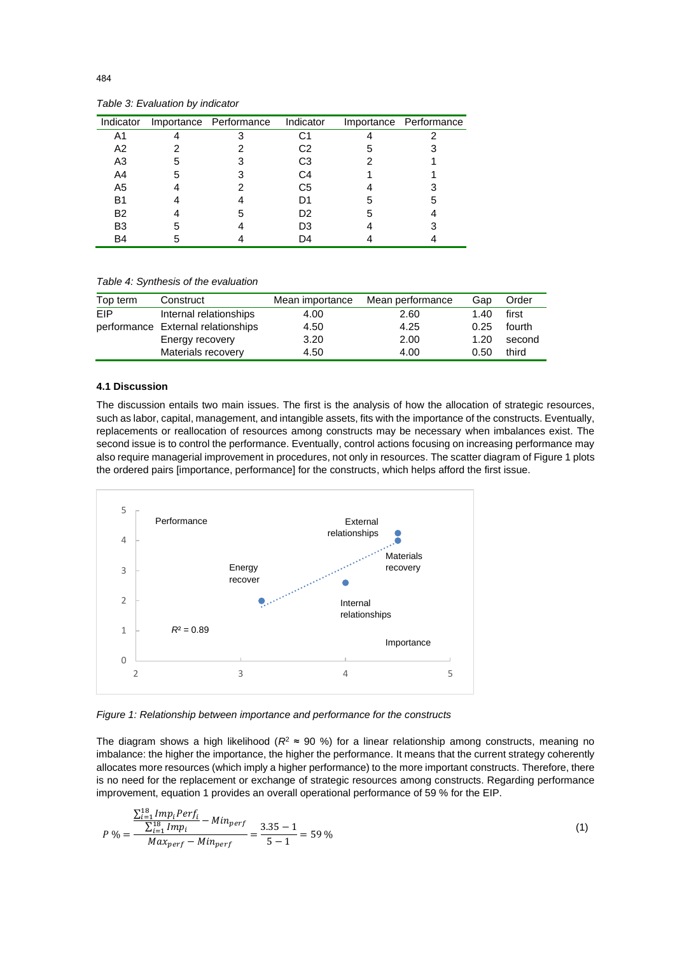| Indicator      |   | Importance Performance | Indicator      |   | Importance Performance |
|----------------|---|------------------------|----------------|---|------------------------|
| A1             |   |                        | С1             |   |                        |
| A2             |   |                        | C2             | 5 |                        |
| A <sub>3</sub> | 5 |                        | C3             |   |                        |
| A4             | 5 |                        | C4             |   |                        |
| A <sub>5</sub> |   |                        | C <sub>5</sub> |   |                        |
| B1             |   |                        | D1             | 5 |                        |
| <b>B2</b>      |   | 5                      | D2             | 5 |                        |
| B <sub>3</sub> | 5 |                        | D3             |   |                        |
| B4             |   |                        | D4             |   |                        |

*Table 3: Evaluation by indicator*

*Table 4: Synthesis of the evaluation*

| Top term   | Construct                          | Mean importance | Mean performance | Gap  | Order  |
|------------|------------------------------------|-----------------|------------------|------|--------|
| <b>FIP</b> | Internal relationships             | 4.00            | 2.60             | 1.40 | first  |
|            | performance External relationships | 4.50            | 4.25             | 0.25 | fourth |
|            | Energy recovery                    | 3.20            | 2.00             | 1.20 | second |
|            | Materials recovery                 | 4.50            | 4.00             | 0.50 | third  |

#### **4.1 Discussion**

The discussion entails two main issues. The first is the analysis of how the allocation of strategic resources, such as labor, capital, management, and intangible assets, fits with the importance of the constructs. Eventually, replacements or reallocation of resources among constructs may be necessary when imbalances exist. The second issue is to control the performance. Eventually, control actions focusing on increasing performance may also require managerial improvement in procedures, not only in resources. The scatter diagram of Figure 1 plots the ordered pairs [importance, performance] for the constructs, which helps afford the first issue.



*Figure 1: Relationship between importance and performance for the constructs*

The diagram shows a high likelihood ( $R^2 \approx 90$ %) for a linear relationship among constructs, meaning no imbalance: the higher the importance, the higher the performance. It means that the current strategy coherently allocates more resources (which imply a higher performance) to the more important constructs. Therefore, there is no need for the replacement or exchange of strategic resources among constructs. Regarding performance improvement, equation 1 provides an overall operational performance of 59 % for the EIP.

$$
P\% = \frac{\frac{\sum_{i=1}^{18} Imp_iPerf_i}{\sum_{i=1}^{18} Imp_i} - Min_{perf}}{Max_{perf} - Min_{perf}} = \frac{3.35 - 1}{5 - 1} = 59\,\%
$$
\n(1)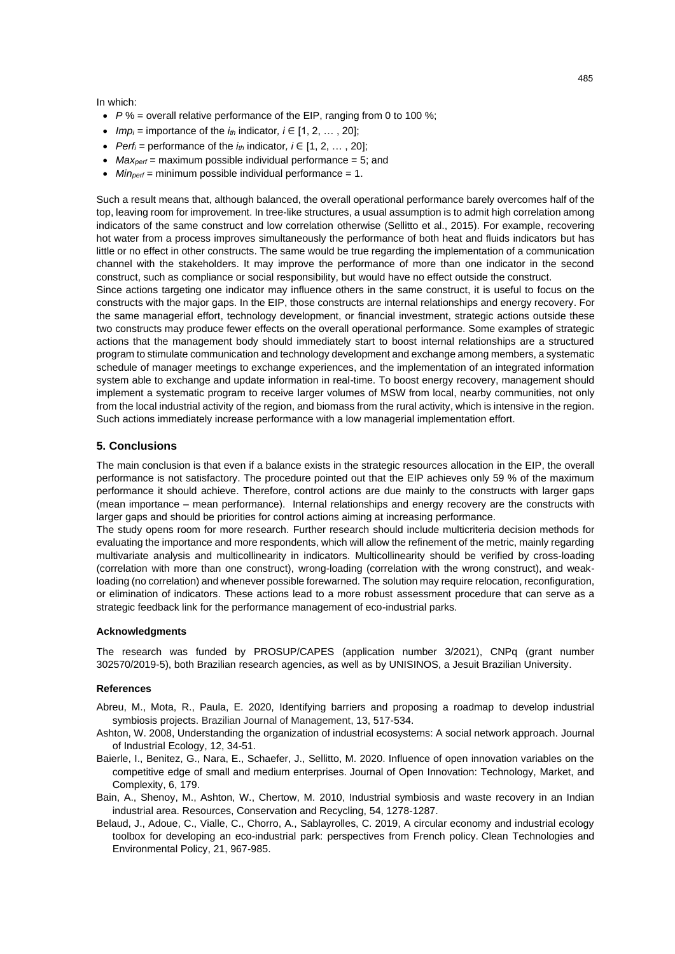#### In which:

- *P* % = overall relative performance of the EIP, ranging from 0 to 100 %;
- *Imp<sub>i</sub>* = importance of the  $i<sub>th</sub>$  indicator,  $i \in [1, 2, \ldots, 20]$ ;
- *Perf<sub>i</sub>* = performance of the  $i<sub>th</sub>$  indicator,  $i \in [1, 2, \ldots, 20]$ ;
- *Maxperf* = maximum possible individual performance = 5; and
- *Minperf* = minimum possible individual performance = 1.

Such a result means that, although balanced, the overall operational performance barely overcomes half of the top, leaving room for improvement. In tree-like structures, a usual assumption is to admit high correlation among indicators of the same construct and low correlation otherwise (Sellitto et al., 2015). For example, recovering hot water from a process improves simultaneously the performance of both heat and fluids indicators but has little or no effect in other constructs. The same would be true regarding the implementation of a communication channel with the stakeholders. It may improve the performance of more than one indicator in the second construct, such as compliance or social responsibility, but would have no effect outside the construct.

Since actions targeting one indicator may influence others in the same construct, it is useful to focus on the constructs with the major gaps. In the EIP, those constructs are internal relationships and energy recovery. For the same managerial effort, technology development, or financial investment, strategic actions outside these two constructs may produce fewer effects on the overall operational performance. Some examples of strategic actions that the management body should immediately start to boost internal relationships are a structured program to stimulate communication and technology development and exchange among members, a systematic schedule of manager meetings to exchange experiences, and the implementation of an integrated information system able to exchange and update information in real-time. To boost energy recovery, management should implement a systematic program to receive larger volumes of MSW from local, nearby communities, not only from the local industrial activity of the region, and biomass from the rural activity, which is intensive in the region. Such actions immediately increase performance with a low managerial implementation effort.

## **5. Conclusions**

The main conclusion is that even if a balance exists in the strategic resources allocation in the EIP, the overall performance is not satisfactory. The procedure pointed out that the EIP achieves only 59 % of the maximum performance it should achieve. Therefore, control actions are due mainly to the constructs with larger gaps (mean importance – mean performance). Internal relationships and energy recovery are the constructs with larger gaps and should be priorities for control actions aiming at increasing performance.

The study opens room for more research. Further research should include multicriteria decision methods for evaluating the importance and more respondents, which will allow the refinement of the metric, mainly regarding multivariate analysis and multicollinearity in indicators. Multicollinearity should be verified by cross-loading (correlation with more than one construct), wrong-loading (correlation with the wrong construct), and weakloading (no correlation) and whenever possible forewarned. The solution may require relocation, reconfiguration, or elimination of indicators. These actions lead to a more robust assessment procedure that can serve as a strategic feedback link for the performance management of eco-industrial parks.

## **Acknowledgments**

The research was funded by PROSUP/CAPES (application number 3/2021), CNPq (grant number 302570/2019-5), both Brazilian research agencies, as well as by UNISINOS, a Jesuit Brazilian University.

## **References**

- Abreu, M., Mota, R., Paula, E. 2020, Identifying barriers and proposing a roadmap to develop industrial symbiosis projects. Brazilian Journal of Management, 13, 517-534.
- Ashton, W. 2008, Understanding the organization of industrial ecosystems: A social network approach. Journal of Industrial Ecology, 12, 34-51.
- Baierle, I., Benitez, G., Nara, E., Schaefer, J., Sellitto, M. 2020. Influence of open innovation variables on the competitive edge of small and medium enterprises. Journal of Open Innovation: Technology, Market, and Complexity, 6, 179.
- Bain, A., Shenoy, M., Ashton, W., Chertow, M. 2010, Industrial symbiosis and waste recovery in an Indian industrial area. Resources, Conservation and Recycling, 54, 1278-1287.
- Belaud, J., Adoue, C., Vialle, C., Chorro, A., Sablayrolles, C. 2019, A circular economy and industrial ecology toolbox for developing an eco-industrial park: perspectives from French policy. Clean Technologies and Environmental Policy, 21, 967-985.